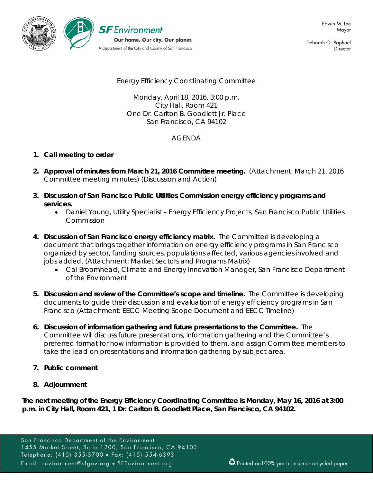

Deborah O. Raphael **Director** 

# Energy Efficiency Coordinating Committee

Monday, April 18, 2016, 3:00 p.m. City Hall, Room 421 One Dr. Carlton B. Goodlett Jr. Place San Francisco, CA 94102

## AGENDA

## **1. Call meeting to order**

- **2. Approval of minutes from March 21, 2016 Committee meeting.** (Attachment: March 21, 2016 Committee meeting minutes) (Discussion and Action)
- **3. Discussion of San Francisco Public Utilities Commission energy efficiency programs and services.**
	- Daniel Young, Utility Specialist Energy Efficiency Projects, San Francisco Public Utilities Commission
- **4. Discussion of San Francisco energy efficiency matrix.** The Committee is developing a document that brings together information on energy efficiency programs in San Francisco organized by sector, funding sources, populations affected, various agencies involved and jobs added. (Attachment: Market Sectors and Programs Matrix)
	- Cal Broomhead, Climate and Energy Innovation Manager, San Francisco Department of the Environment
- **5. Discussion and review of the Committee's scope and timeline.** The Committee is developing documents to guide their discussion and evaluation of energy efficiency programs in San Francisco (Attachment: EECC Meeting Scope Document and EECC Timeline)
- **6. Discussion of information gathering and future presentations to the Committee.** The Committee will discuss future presentations, information gathering and the Committee's preferred format for how information is provided to them, and assign Committee members to take the lead on presentations and information gathering by subject area.
- **7. Public comment**
- **8. Adjournment**

*The next meeting of the Energy Efficiency Coordinating Committee is Monday, May 16, 2016 at 3:00 p.m. in City Hall, Room 421, 1 Dr. Carlton B. Goodlett Place, San Francisco, CA 94102.*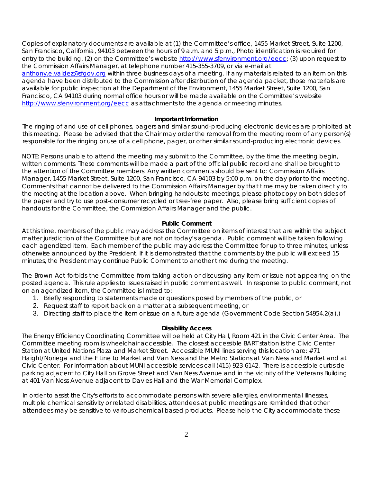Copies of explanatory documents are available at (1) the Committee's office, 1455 Market Street, Suite 1200, San Francisco, California, 94103 between the hours of 9 a.m. and 5 p.m., Photo identification is required for entry to the building. (2) on the Committee's website http://www.sfenvironment.org/eecc; (3) upon request to the Commission Affairs Manager, at telephone number 415-355-3709, or via e-mail at

[anthony.e.valdez@sfgov.org](mailto:anthony.e.valdez@sfgov.org) within three business days of a meeting. If any materials related to an item on this agenda have been distributed to the Commission after distribution of the agenda packet, those materials are available for public inspection at the Department of the Environment, 1455 Market Street, Suite 1200, San Francisco, CA 94103 during normal office hours or will be made available on the Committee's website <http://www.sfenvironment.org/eecc> as attachments to the agenda or meeting minutes.

### **Important Information**

The ringing of and use of cell phones, pagers and similar sound-producing electronic devices are prohibited at this meeting. Please be advised that the Chair may order the removal from the meeting room of any person(s) responsible for the ringing or use of a cell phone, pager, or other similar sound-producing electronic devices.

NOTE: Persons unable to attend the meeting may submit to the Committee, by the time the meeting begin, written comments. These comments will be made a part of the official public record and shall be brought to the attention of the Committee members. Any written comments should be sent to: Commission Affairs Manager, 1455 Market Street, Suite 1200, San Francisco, CA 94103 by 5:00 p.m. on the day prior to the meeting. Comments that cannot be delivered to the Commission Affairs Manager by that time may be taken directly to the meeting at the location above. When bringing handouts to meetings, please photocopy on both sides of the paper and try to use post-consumer recycled or tree-free paper. Also, please bring sufficient copies of handouts for the Committee, the Commission Affairs Manager and the public.

#### **Public Comment**

At this time, members of the public may address the Committee on items of interest that are within the subject matter jurisdiction of the Committee but are not on today's agenda. Public comment will be taken following each agendized item. Each member of the public may address the Committee for up to three minutes, unless otherwise announced by the President. If it is demonstrated that the comments by the public will exceed 15 minutes, the President may continue Public Comment to another time during the meeting.

The Brown Act forbids the Committee from taking action or discussing any item or issue not appearing on the posted agenda. This rule applies to issues raised in public comment as well. In response to public comment, not on an agendized item, the Committee is limited to:

- 1. Briefly responding to statements made or questions posed by members of the public, or
- 2. Request staff to report back on a matter at a subsequent meeting, or
- 3. Directing staff to place the item or issue on a future agenda (Government Code Section 54954.2(a).)

#### **Disability Access**

The Energy Efficiency Coordinating Committee will be held at City Hall, Room 421 in the Civic Center Area. The Committee meeting room is wheelchair accessible. The closest accessible BART station is the Civic Center Station at United Nations Plaza and Market Street. Accessible MUNI lines serving this location are: #71 Haight/Noriega and the F Line to Market and Van Ness and the Metro Stations at Van Ness and Market and at Civic Center. For information about MUNI accessible services call (415) 923-6142. There is accessible curbside parking adjacent to City Hall on Grove Street and Van Ness Avenue and in the vicinity of the Veterans Building at 401 Van Ness Avenue adjacent to Davies Hall and the War Memorial Complex.

In order to assist the City's efforts to accommodate persons with severe allergies, environmental illnesses, multiple chemical sensitivity or related disabilities, attendees at public meetings are reminded that other attendees may be sensitive to various chemical based products. Please help the City accommodate these